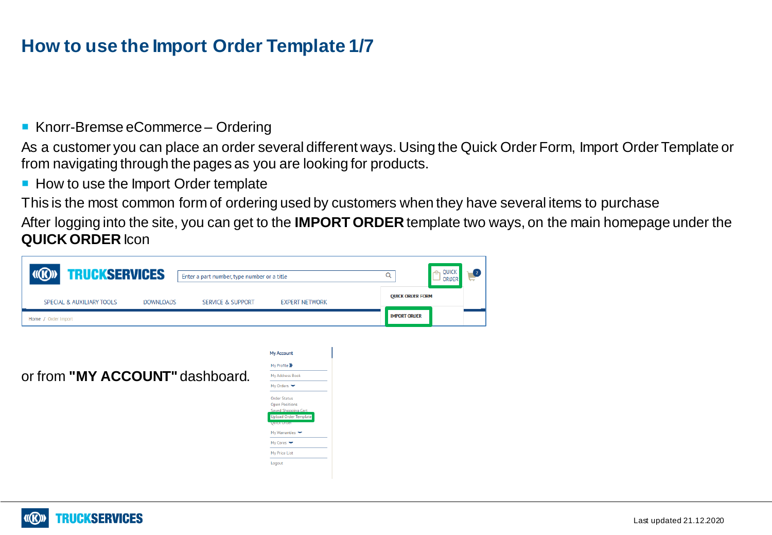### **How to use the Import Order Template 1/7**

Knorr-Bremse eCommerce – Ordering

As a customer you can place an order several different ways. Using the Quick Order Form, Import Order Template or from navigating through the pages as you are looking for products.

How to use the Import Order template

This is the most common form of ordering used by customers when they have several items to purchase

After logging into the site, you can get to the **IMPORT ORDER** template two ways, on the main homepage under the **QUICK ORDER** Icon



or from **"MY ACCOUNT"** dashboard.



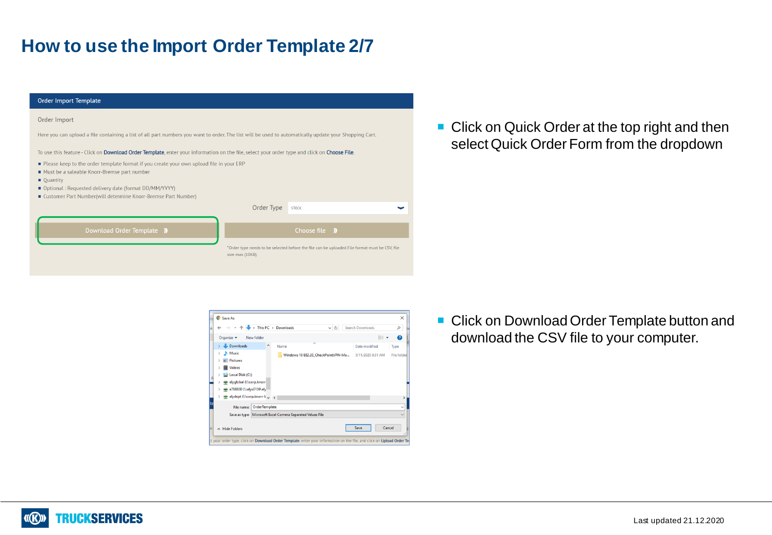## **How to use the Import Order Template 2/7**

| <b>Order Import Template</b>                                                                                                                                                                                                                                                                       |                  |                                                                                                |  |  |
|----------------------------------------------------------------------------------------------------------------------------------------------------------------------------------------------------------------------------------------------------------------------------------------------------|------------------|------------------------------------------------------------------------------------------------|--|--|
| Order Import                                                                                                                                                                                                                                                                                       |                  |                                                                                                |  |  |
| Here you can upload a file containing a list of all part numbers you want to order. The list will be used to automatically update your Shopping Cart.                                                                                                                                              |                  |                                                                                                |  |  |
| To use this feature - Click on Download Order Template, enter your information on the file, select your order type and click on Choose File.                                                                                                                                                       |                  |                                                                                                |  |  |
| Please keep to the order template format if you create your own upload file in your ERP<br>■ Must be a saleable Knorr-Bremse part number<br>$\blacksquare$ Quantity<br>■ Optional : Requested delivery date (format DD/MM/YYYY)<br>■ Customer Part Number(will determine Knorr-Bremse Part Number) |                  |                                                                                                |  |  |
|                                                                                                                                                                                                                                                                                                    | Order Type       | <b>STOCK</b>                                                                                   |  |  |
|                                                                                                                                                                                                                                                                                                    |                  |                                                                                                |  |  |
| Download Order Template II                                                                                                                                                                                                                                                                         |                  | Choose file <b>I)</b>                                                                          |  |  |
|                                                                                                                                                                                                                                                                                                    | size max (10KB). | *Order type needs to be selected before the file can be uploaded.File format must be CSV, file |  |  |

**Click on Quick Order at the top right and then** select Quick Order Form from the dropdown

- Save As  $\times$ ↑ → This PC > Downloads ↓ ひ Search Downloads  $\varphi$ Organize  $\blacktriangleright$  New folder  $\bullet$ Bit + > Download Date modified Name Type  $\Rightarrow$  **h** Music Windows 10 E82.20\_CheckPointVPN-Ma... 5/11/2020 9:31 AM File fol  $\blacktriangleright$   $\blacksquare$  Pictures **B** Videos Local Disk (C:) elyglobal (\\corp.knorr e768830 (\\elys0159\ely elydept (\\corp.knorr-E v < File name: OrderTemplate Save as type: Microsoft Excel Comma Separated Values File Save Cancel A Hide Folders your order type, click on Download Order Template, enter your information on the file, and click on Upload Order T
- **Click on Download Order Template button and** download the CSV file to your computer.

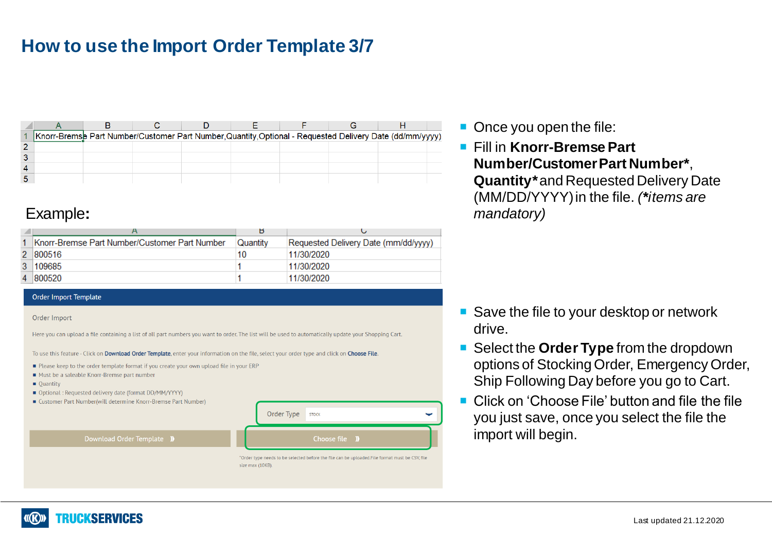# **How to use the Import Order Template 3/7**

| Knorr-Bremse Part Number/Customer Part Number, Quantity, Optional - Requested Delivery Date (dd/mm/yyyy), |  |  |  |  |
|-----------------------------------------------------------------------------------------------------------|--|--|--|--|
|                                                                                                           |  |  |  |  |
|                                                                                                           |  |  |  |  |
|                                                                                                           |  |  |  |  |
|                                                                                                           |  |  |  |  |

### Example**:**

|   |                                               | ь        |                                      |
|---|-----------------------------------------------|----------|--------------------------------------|
|   | Knorr-Bremse Part Number/Customer Part Number | Quantity | Requested Delivery Date (mm/dd/vyyy) |
|   | 2 800516                                      | 10       | 11/30/2020                           |
| 3 | 109685                                        |          | 11/30/2020                           |
|   | 4 800520                                      |          | 11/30/2020                           |

#### Order Import Template

#### Order Import

Here you can upload a file containing a list of all part numbers you want to order. The list will be used to automatically update your Shopping Cart.

To use this feature - Click on Download Order Template, enter your information on the file, select your order type and click on Choose File.

- Please keep to the order template format if you create your own upload file in your ERP
- Must be a saleable Knorr-Bremse part number
- **Quantity**
- Optional : Requested delivery date (format DD/MM/YYYY)
- Customer Part Number(will determine Knorr-Bremse Part Number)

Download Order Template <sup>1</sup>



\*Order type needs to be selected before the file can be uploaded.File format must be CSV, file size max (10KB).

- Once you open the file:
- Fill in **Knorr-Bremse Part Number/Customer Part Number\***, **Quantity\*** and Requested Delivery Date (MM/DD/YYYY) in the file. *(\*items are mandatory)*

- Save the file to your desktop or network drive.
- Select the **Order Type** from the dropdown options of Stocking Order, Emergency Order, Ship Following Day before you go to Cart.
- Click on 'Choose File' button and file the file you just save, once you select the file the import will begin.

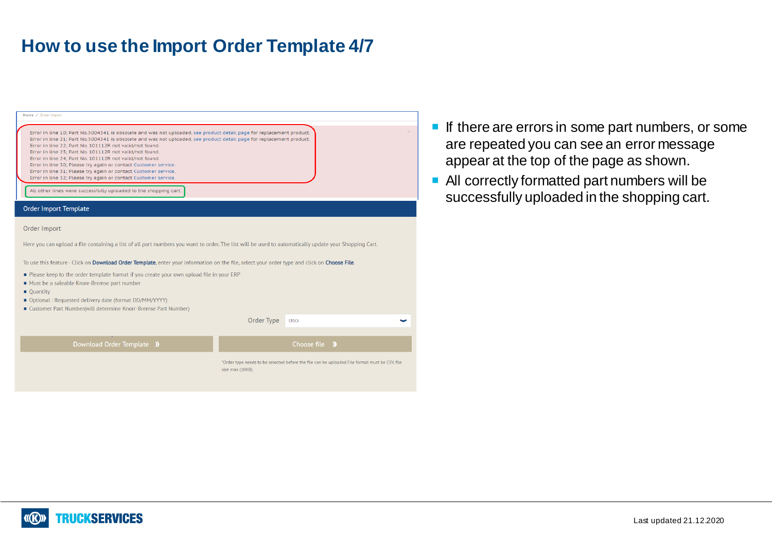### **How to use the Import Order Template 4/7**

| Home / Order Import                                                                                                                                                                                                                                                                                                                                                                                                                                                                                                                                                                                                                                                                                        |                                                                                                                    |
|------------------------------------------------------------------------------------------------------------------------------------------------------------------------------------------------------------------------------------------------------------------------------------------------------------------------------------------------------------------------------------------------------------------------------------------------------------------------------------------------------------------------------------------------------------------------------------------------------------------------------------------------------------------------------------------------------------|--------------------------------------------------------------------------------------------------------------------|
| Error in line 10; Part No.5004341 is obsolete and was not uploaded, see product detail page for replacement product.<br>Error in line 21; Part No.5004341 is obsolete and was not uploaded, see product detail page for replacement product.<br>Error in line 22; Part No. 101112R not valid/not found.<br>Error in line 23; Part No. 101112R not valid/not found.<br>Error in line 24; Part No. 101112R not valid/not found.<br>Error in line 30; Please try again or contact Customer service.<br>Error in line 31; Please try again or contact Customer service.<br>Error in line 32; Please try again or contact Customer service.<br>All other lines were successfully uploaded to the shopping cart. |                                                                                                                    |
| <b>Order Import Template</b>                                                                                                                                                                                                                                                                                                                                                                                                                                                                                                                                                                                                                                                                               |                                                                                                                    |
| Order Import<br>Here you can upload a file containing a list of all part numbers you want to order. The list will be used to automatically update your Shopping Cart.<br>To use this feature - Click on Download Order Template, enter your information on the file, select your order type and click on Choose File.<br>Please keep to the order template format if you create your own upload file in your ERP<br>Must be a saleable Knorr-Bremse part number<br>■ Quantity<br>■ Optional : Requested delivery date (format DD/MM/YYYY)<br>■ Customer Part Number(will determine Knorr-Bremse Part Number)                                                                                               | Order Type<br><b>STOCK</b>                                                                                         |
| Download Order Template II                                                                                                                                                                                                                                                                                                                                                                                                                                                                                                                                                                                                                                                                                 | Choose file <b>I)</b>                                                                                              |
|                                                                                                                                                                                                                                                                                                                                                                                                                                                                                                                                                                                                                                                                                                            |                                                                                                                    |
|                                                                                                                                                                                                                                                                                                                                                                                                                                                                                                                                                                                                                                                                                                            | *Order type needs to be selected before the file can be uploaded.File format must be CSV, file<br>size max (10KB). |
|                                                                                                                                                                                                                                                                                                                                                                                                                                                                                                                                                                                                                                                                                                            |                                                                                                                    |

- $\blacksquare$  If there are errors in some part numbers, or some are repeated you can see an error message appear at the top of the page as shown.
- All correctly formatted part numbers will be successfully uploaded in the shopping cart.

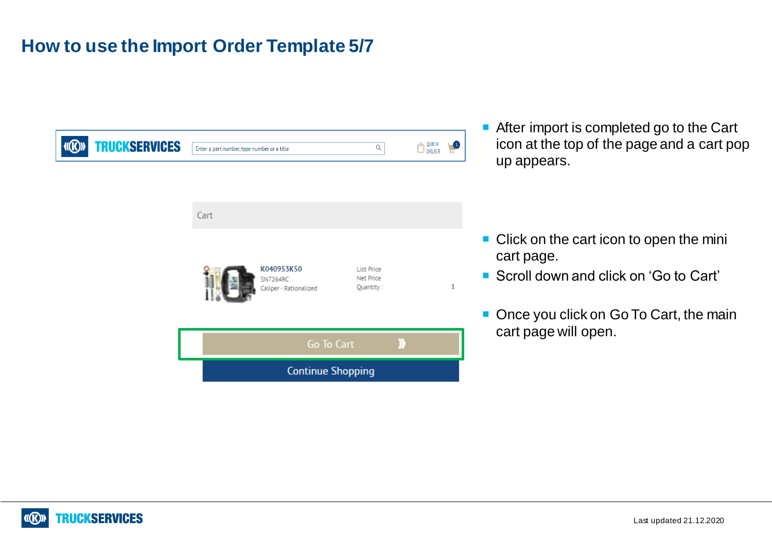# **How to use the Import Order Template 5/7**

| <b>TRUCKSERVICES</b><br>$\langle f(R) \rangle$ | Enter a part number, type number or a title             | $\alpha$                                    | QUICK<br>ORDER<br>$\bullet$ |
|------------------------------------------------|---------------------------------------------------------|---------------------------------------------|-----------------------------|
|                                                |                                                         |                                             |                             |
|                                                | Cart                                                    |                                             |                             |
|                                                | K040953K50<br><b>SN7264RC</b><br>Caliper - Rationalized | <b>List Price</b><br>Net Price<br>Quantity: | 1                           |
|                                                | Go To Cart                                              |                                             |                             |
|                                                | <b>Continue Shopping</b>                                |                                             |                             |

 After import is completed go to the Cart icon at the top of the page and a cart pop up appears.

- Click on the cart icon to open the mini cart page.
- Scroll down and click on 'Go to Cart'
- Once you click on Go To Cart, the main cart page will open.

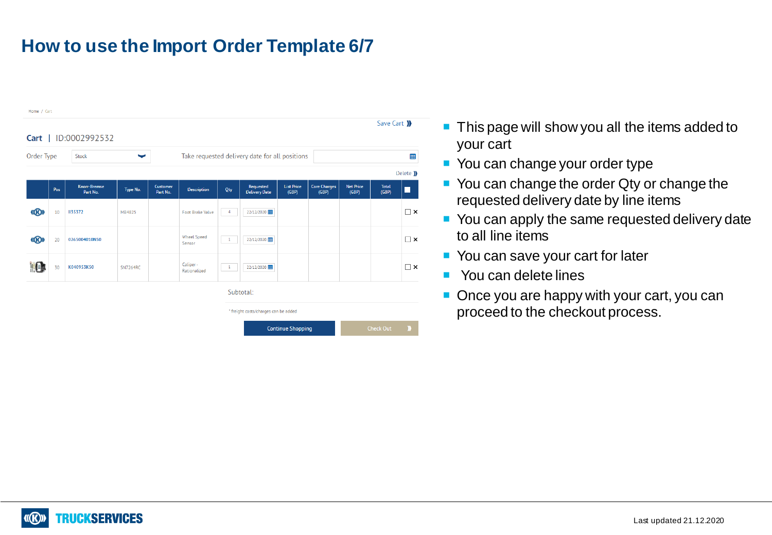# **How to use the Import Order Template 6/7**



- This page will show you all the items added to your cart
- You can change your order type
- You can change the order Qty or change the requested delivery date by line items
- You can apply the same requested delivery date to all line items
- You can save your cart for later
- You can delete lines
- Once you are happy with your cart, you can proceed to the checkout process.